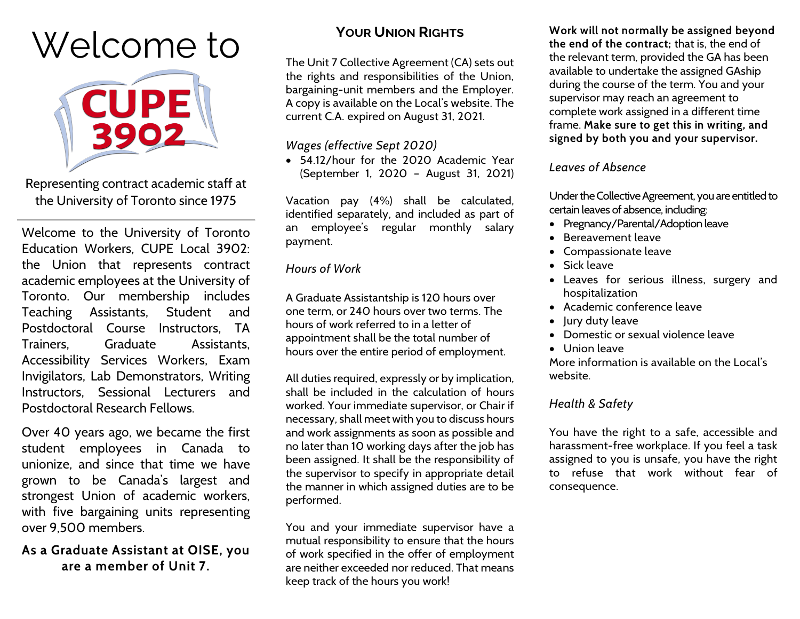# Welcome to



Representing contract academic staff at the University of Toronto since 1975

Welcome to the University of Toronto Education Workers, CUPE Local 3902: the Union that represents contract academic employees at the University of Toronto. Our membership includes Teaching Assistants, Student and Postdoctoral Course Instructors, TA Trainers, Graduate Assistants, Accessibility Services Workers, Exam Invigilators, Lab Demonstrators, Writing Instructors, Sessional Lecturers and Postdoctoral Research Fellows.

Over 40 years ago, we became the first student employees in Canada to unionize, and since that time we have grown to be Canada's largest and strongest Union of academic workers, with five bargaining units representing over 9,500 members.

## **As a Graduate Assistant at OISE, you are a member of Unit 7.**

# **YOUR UNION RIGHTS**

The Unit 7 Collective Agreement (CA) sets out the rights and responsibilities of the Union, bargaining-unit members and the Employer. A copy is available on the Local's website. The current C.A. expired on August 31, 2021.

### *Wages (effective Sept 2020)*

• 54.12/hour for the 2020 Academic Year (September 1, 2020 – August 31, 2021)

Vacation pay (4%) shall be calculated, identified separately, and included as part of an employee's regular monthly salary payment.

#### *Hours of Work*

A Graduate Assistantship is 120 hours over one term, or 240 hours over two terms. The hours of work referred to in a letter of appointment shall be the total number of hours over the entire period of employment.

All duties required, expressly or by implication, shall be included in the calculation of hours worked. Your immediate supervisor, or Chair if necessary, shall meet with you to discuss hours and work assignments as soon as possible and no later than 10 working days after the job has been assigned. It shall be the responsibility of the supervisor to specify in appropriate detail the manner in which assigned duties are to be performed.

You and your immediate supervisor have a mutual responsibility to ensure that the hours of work specified in the offer of employment are neither exceeded nor reduced. That means keep track of the hours you work!

**Work will not normally be assigned beyond the end of the contract;** that is, the end of the relevant term, provided the GA has been available to undertake the assigned GAship during the course of the term. You and your supervisor may reach an agreement to complete work assigned in a different time frame. **Make sure to get this in writing, and signed by both you and your supervisor.**

### *Leaves of Absence*

Under the Collective Agreement, you are entitled to certain leaves of absence, including:

- Pregnancy/Parental/Adoption leave
- Bereavement leave
- Compassionate leave
- Sick leave
- Leaves for serious illness, surgery and hospitalization
- Academic conference leave
- Jury duty leave
- Domestic or sexual violence leave
- Union leave

More information is available on the Local's website.

# *Health & Safety*

You have the right to a safe, accessible and harassment-free workplace. If you feel a task assigned to you is unsafe, you have the right to refuse that work without fear of consequence.